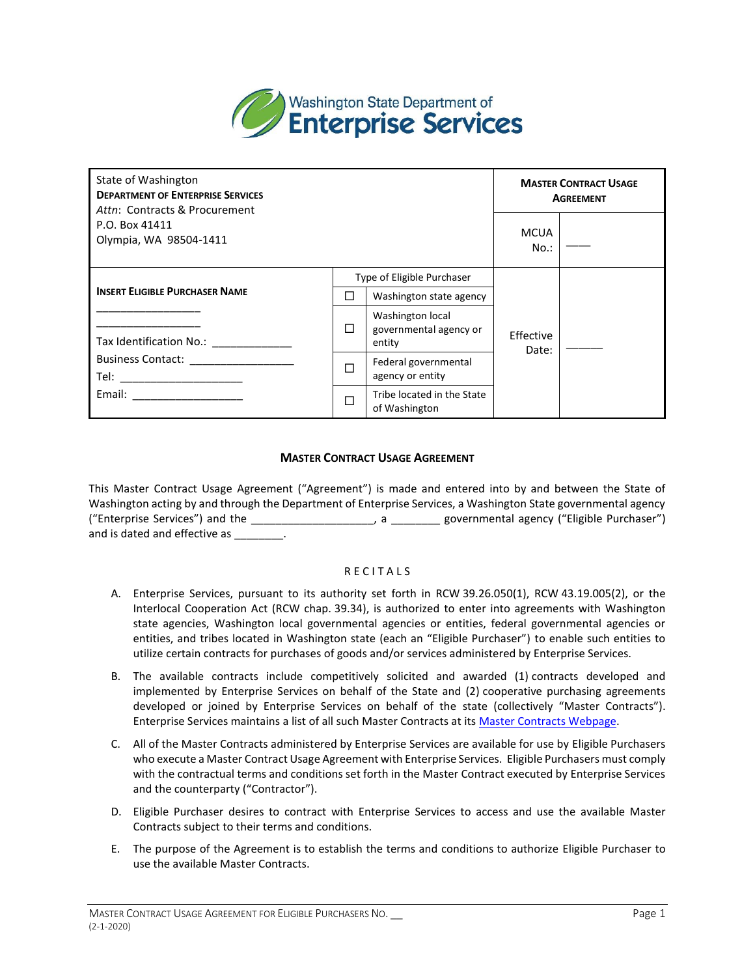

| State of Washington<br><b>DEPARTMENT OF ENTERPRISE SERVICES</b><br>Attn: Contracts & Procurement |    |                                                      | <b>MASTER CONTRACT USAGE</b><br><b>AGREEMENT</b> |  |
|--------------------------------------------------------------------------------------------------|----|------------------------------------------------------|--------------------------------------------------|--|
| P.O. Box 41411<br>Olympia, WA 98504-1411                                                         |    |                                                      |                                                  |  |
|                                                                                                  |    | Type of Eligible Purchaser                           |                                                  |  |
| <b>INSERT ELIGIBLE PURCHASER NAME</b>                                                            | ΙI | Washington state agency                              |                                                  |  |
| Tax Identification No.:                                                                          | □  | Washington local<br>governmental agency or<br>entity | Effective<br>Date:                               |  |
| Business Contact: _________________<br>Tel: _____________________                                | П  | Federal governmental<br>agency or entity             |                                                  |  |
| Email: ______________________                                                                    |    | Tribe located in the State<br>of Washington          |                                                  |  |

## **MASTER CONTRACT USAGE AGREEMENT**

 This Master Contract Usage Agreement ("Agreement") is made and entered into by and between the State of Washington acting by and through the Department of Enterprise Services, a Washington State governmental agency ("Enterprise Services") and the \_\_\_\_\_\_\_\_\_\_\_\_\_\_\_\_\_\_\_\_, a \_\_\_\_\_\_\_\_ governmental agency ("Eligible Purchaser") and is dated and effective as  $\qquad \qquad$ .

## **RECITALS**

- A. Enterprise Services, pursuant to its authority set forth in RCW 39.26.050(1), RCW 43.19.005(2), or the Interlocal Cooperation Act (RCW chap. 39.34), is authorized to enter into agreements with Washington state agencies, Washington local governmental agencies or entities, federal governmental agencies or entities, and tribes located in Washington state (each an "Eligible Purchaser") to enable such entities to utilize certain contracts for purchases of goods and/or services administered by Enterprise Services.
- B. The available contracts include competitively solicited and awarded (1) contracts developed and implemented by Enterprise Services on behalf of the State and (2) cooperative purchasing agreements developed or joined by Enterprise Services on behalf of the state (collectively "Master Contracts"). Enterprise Services maintains a list of all such Master Contracts at it[s Master Contracts Webpage.](https://apps.des.wa.gov/DESContracts/)
- who execute a Master Contract Usage Agreement with Enterprise Services. Eligible Purchasers must comply with the contractual terms and conditions set forth in the Master Contract executed by Enterprise Services C. All of the Master Contracts administered by Enterprise Services are available for use by Eligible Purchasers and the counterparty ("Contractor").
- D. Eligible Purchaser desires to contract with Enterprise Services to access and use the available Master Contracts subject to their terms and conditions.
- E. The purpose of the Agreement is to establish the terms and conditions to authorize Eligible Purchaser to use the available Master Contracts.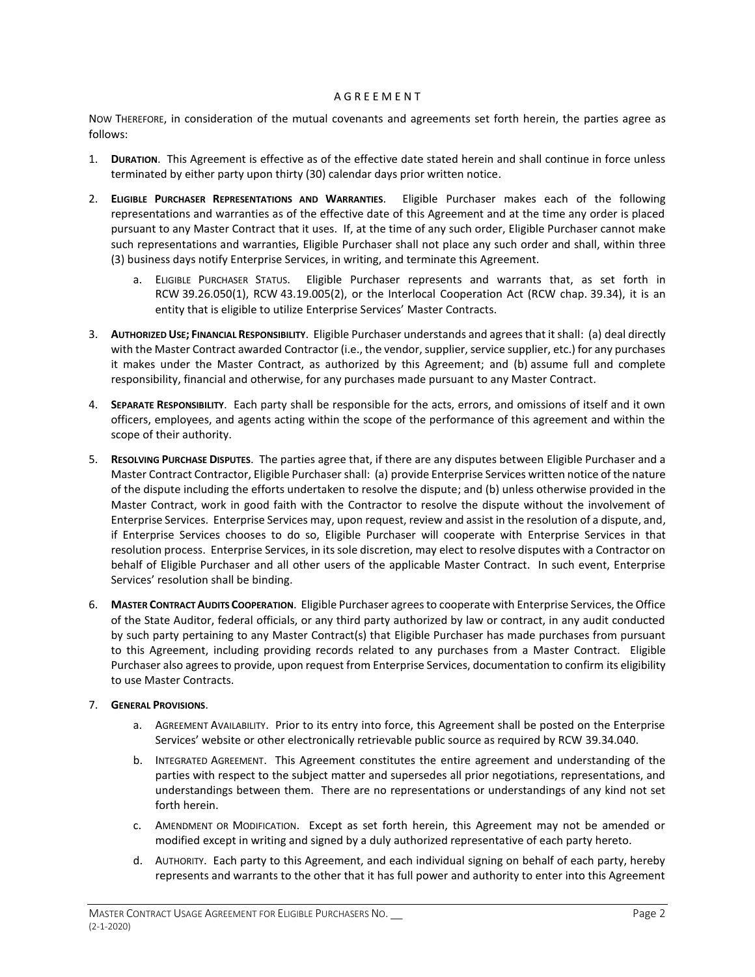## A G R E E M E N T

 NOW THEREFORE, in consideration of the mutual covenants and agreements set forth herein, the parties agree as follows:

- 1. **DURATION**. This Agreement is effective as of the effective date stated herein and shall continue in force unless terminated by either party upon thirty (30) calendar days prior written notice.
- 2. **ELIGIBLE PURCHASER REPRESENTATIONS AND WARRANTIES**. Eligible Purchaser makes each of the following representations and warranties as of the effective date of this Agreement and at the time any order is placed pursuant to any Master Contract that it uses. If, at the time of any such order, Eligible Purchaser cannot make such representations and warranties, Eligible Purchaser shall not place any such order and shall, within three (3) business days notify Enterprise Services, in writing, and terminate this Agreement.
	- a. ELIGIBLE PURCHASER STATUS. Eligible Purchaser represents and warrants that, as set forth in RCW 39.26.050(1), RCW 43.19.005(2), or the Interlocal Cooperation Act (RCW chap. 39.34), it is an entity that is eligible to utilize Enterprise Services' Master Contracts.
- 3. **AUTHORIZED USE; FINANCIAL RESPONSIBILITY**. Eligible Purchaser understands and agrees that it shall: (a) deal directly with the Master Contract awarded Contractor (i.e., the vendor, supplier, service supplier, etc.) for any purchases it makes under the Master Contract, as authorized by this Agreement; and (b) assume full and complete responsibility, financial and otherwise, for any purchases made pursuant to any Master Contract.
- 4. **SEPARATE RESPONSIBILITY**. Each party shall be responsible for the acts, errors, and omissions of itself and it own officers, employees, and agents acting within the scope of the performance of this agreement and within the scope of their authority.
- Master Contract Contractor, Eligible Purchaser shall: (a) provide Enterprise Services written notice of the nature Master Contract, work in good faith with the Contractor to resolve the dispute without the involvement of Enterprise Services. Enterprise Services may, upon request, review and assist in the resolution of a dispute, and, if Enterprise Services chooses to do so, Eligible Purchaser will cooperate with Enterprise Services in that resolution process. Enterprise Services, in its sole discretion, may elect to resolve disputes with a Contractor on behalf of Eligible Purchaser and all other users of the applicable Master Contract. In such event, Enterprise 5. **RESOLVING PURCHASE DISPUTES**. The parties agree that, if there are any disputes between Eligible Purchaser and a of the dispute including the efforts undertaken to resolve the dispute; and (b) unless otherwise provided in the Services' resolution shall be binding.
- 6. **MASTER CONTRACT AUDITS COOPERATION**. Eligible Purchaser agrees to cooperate with Enterprise Services, the Office of the State Auditor, federal officials, or any third party authorized by law or contract, in any audit conducted by such party pertaining to any Master Contract(s) that Eligible Purchaser has made purchases from pursuant to this Agreement, including providing records related to any purchases from a Master Contract. Eligible Purchaser also agrees to provide, upon request from Enterprise Services, documentation to confirm its eligibility to use Master Contracts.

## 7. **GENERAL PROVISIONS**.

- a. AGREEMENT AVAILABILITY. Prior to its entry into force, this Agreement shall be posted on the Enterprise Services' website or other electronically retrievable public source as required by RCW 39.34.040.
- b. INTEGRATED AGREEMENT. This Agreement constitutes the entire agreement and understanding of the parties with respect to the subject matter and supersedes all prior negotiations, representations, and understandings between them. There are no representations or understandings of any kind not set forth herein.
- c. AMENDMENT OR MODIFICATION. Except as set forth herein, this Agreement may not be amended or modified except in writing and signed by a duly authorized representative of each party hereto.
- d. AUTHORITY. Each party to this Agreement, and each individual signing on behalf of each party, hereby represents and warrants to the other that it has full power and authority to enter into this Agreement